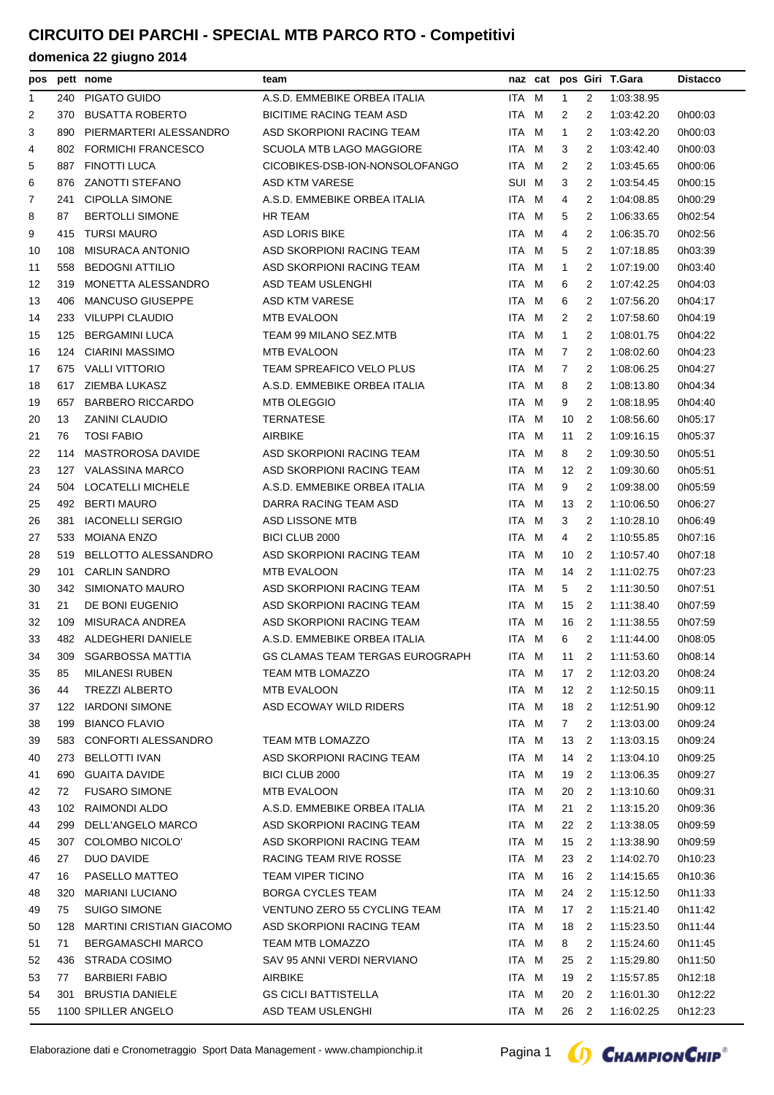| pos |     | pett nome                       | team                                |       |   |                 |                          | naz cat pos Giri T.Gara | <b>Distacco</b> |
|-----|-----|---------------------------------|-------------------------------------|-------|---|-----------------|--------------------------|-------------------------|-----------------|
| 1   | 240 | PIGATO GUIDO                    | A.S.D. EMMEBIKE ORBEA ITALIA        | ITA   | M | 1               | 2                        | 1:03:38.95              |                 |
| 2   | 370 | <b>BUSATTA ROBERTO</b>          | <b>BICITIME RACING TEAM ASD</b>     | ITA M |   | 2               | 2                        | 1:03:42.20              | 0h00:03         |
| 3   | 890 | PIERMARTERI ALESSANDRO          | ASD SKORPIONI RACING TEAM           | ITA M |   | 1               | 2                        | 1:03:42.20              | 0h00:03         |
| 4   | 802 | <b>FORMICHI FRANCESCO</b>       | <b>SCUOLA MTB LAGO MAGGIORE</b>     | ITA M |   | 3               | 2                        | 1:03:42.40              | 0h00:03         |
| 5   |     | 887 FINOTTI LUCA                | CICOBIKES-DSB-ION-NONSOLOFANGO      | ITA M |   | 2               | 2                        | 1:03:45.65              | 0h00:06         |
| 6   | 876 | <b>ZANOTTI STEFANO</b>          | <b>ASD KTM VARESE</b>               | SUI M |   | 3               | 2                        | 1:03:54.45              | 0h00:15         |
| 7   | 241 | <b>CIPOLLA SIMONE</b>           | A.S.D. EMMEBIKE ORBEA ITALIA        | ITA.  | M | 4               | 2                        | 1:04:08.85              | 0h00:29         |
| 8   | 87  | <b>BERTOLLI SIMONE</b>          | HR TEAM                             | ITA M |   | 5               | 2                        | 1:06:33.65              | 0h02:54         |
| 9   | 415 | <b>TURSI MAURO</b>              | <b>ASD LORIS BIKE</b>               | ITA M |   | 4               | 2                        | 1:06:35.70              | 0h02:56         |
| 10  | 108 | MISURACA ANTONIO                | ASD SKORPIONI RACING TEAM           | ITA.  | M | 5               | 2                        | 1:07:18.85              | 0h03:39         |
| 11  | 558 | <b>BEDOGNI ATTILIO</b>          | ASD SKORPIONI RACING TEAM           | ITA M |   | 1               | 2                        | 1:07:19.00              | 0h03:40         |
| 12  | 319 | MONETTA ALESSANDRO              | ASD TEAM USLENGHI                   | ITA M |   | 6               | 2                        | 1:07:42.25              | 0h04:03         |
| 13  | 406 | <b>MANCUSO GIUSEPPE</b>         | <b>ASD KTM VARESE</b>               | ITA   | M | 6               | 2                        | 1:07:56.20              | 0h04:17         |
| 14  | 233 | <b>VILUPPI CLAUDIO</b>          | <b>MTB EVALOON</b>                  | ITA   | M | 2               | 2                        | 1:07:58.60              | 0h04:19         |
| 15  | 125 | <b>BERGAMINI LUCA</b>           | TEAM 99 MILANO SEZ.MTB              | ITA M |   | $\mathbf{1}$    | 2                        | 1:08:01.75              | 0h04:22         |
| 16  | 124 | <b>CIARINI MASSIMO</b>          | MTB EVALOON                         | ITA   | M | 7               | 2                        | 1:08:02.60              | 0h04:23         |
| 17  | 675 | VALLI VITTORIO                  | TEAM SPREAFICO VELO PLUS            | ITA M |   | 7               | 2                        | 1:08:06.25              | 0h04:27         |
| 18  | 617 | ZIEMBA LUKASZ                   | A.S.D. EMMEBIKE ORBEA ITALIA        | ITA M |   | 8               | 2                        | 1:08:13.80              | 0h04:34         |
| 19  | 657 | <b>BARBERO RICCARDO</b>         | <b>MTB OLEGGIO</b>                  | ITA.  | M | 9               | 2                        | 1:08:18.95              | 0h04:40         |
| 20  | 13  | <b>ZANINI CLAUDIO</b>           | <b>TERNATESE</b>                    | ITA M |   | 10              | 2                        | 1:08:56.60              | 0h05:17         |
| 21  | 76  | <b>TOSI FABIO</b>               | <b>AIRBIKE</b>                      | ITA M |   | 11              | 2                        | 1:09:16.15              | 0h05:37         |
| 22  | 114 | <b>MASTROROSA DAVIDE</b>        | ASD SKORPIONI RACING TEAM           | ITA M |   | 8               | 2                        | 1:09:30.50              | 0h05:51         |
| 23  |     | 127 VALASSINA MARCO             | ASD SKORPIONI RACING TEAM           | ITA M |   | 12              | -2                       | 1:09:30.60              | 0h05:51         |
| 24  |     | 504 LOCATELLI MICHELE           | A.S.D. EMMEBIKE ORBEA ITALIA        | ITA M |   | 9               | 2                        | 1:09:38.00              | 0h05:59         |
| 25  | 492 | <b>BERTI MAURO</b>              | DARRA RACING TEAM ASD               | ITA.  | M | 13              | 2                        | 1:10:06.50              | 0h06:27         |
| 26  | 381 | <b>IACONELLI SERGIO</b>         | ASD LISSONE MTB                     | ITA M |   | 3               | 2                        | 1:10:28.10              | 0h06:49         |
| 27  | 533 | <b>MOIANA ENZO</b>              | BICI CLUB 2000                      | ITA M |   | 4               | 2                        | 1:10:55.85              | 0h07:16         |
| 28  | 519 | <b>BELLOTTO ALESSANDRO</b>      | ASD SKORPIONI RACING TEAM           | ITA M |   | 10              | 2                        | 1:10:57.40              | 0h07:18         |
| 29  | 101 | <b>CARLIN SANDRO</b>            | MTB EVALOON                         | ITA M |   | 14              | 2                        | 1:11:02.75              | 0h07:23         |
| 30  | 342 | SIMIONATO MAURO                 | ASD SKORPIONI RACING TEAM           | ITA M |   | 5               | 2                        | 1:11:30.50              | 0h07:51         |
| 31  | 21  | DE BONI EUGENIO                 | ASD SKORPIONI RACING TEAM           | ITA.  | M | 15              | 2                        | 1:11:38.40              | 0h07:59         |
| 32  | 109 | <b>MISURACA ANDREA</b>          | ASD SKORPIONI RACING TEAM           | ITA M |   | 16              | -2                       | 1:11:38.55              | 0h07:59         |
| 33  |     | 482 ALDEGHERI DANIELE           | A.S.D. EMMEBIKE ORBEA ITALIA        | ITA M |   | 6               | 2                        | 1:11:44.00              | 0h08:05         |
| 34  | 309 | <b>SGARBOSSA MATTIA</b>         | GS CLAMAS TEAM TERGAS EUROGRAPH     | ITA M |   | 11              | 2                        | 1:11:53.60              | 0h08:14         |
| 35  | 85  | <b>MILANESI RUBEN</b>           | TEAM MTB LOMAZZO                    | ITA M |   | 17              | -2                       | 1:12:03.20              | 0h08:24         |
| 36  | 44  | <b>TREZZI ALBERTO</b>           | <b>MTB EVALOON</b>                  | ITA M |   | 12 <sub>2</sub> |                          | 1:12:50.15              | 0h09:11         |
| 37  | 122 | <b>IARDONI SIMONE</b>           | ASD ECOWAY WILD RIDERS              | ITA M |   | 18              | $\overline{2}$           | 1:12:51.90              | 0h09:12         |
| 38  | 199 | <b>BIANCO FLAVIO</b>            |                                     | ITA M |   | $\overline{7}$  | 2                        | 1:13:03.00              | 0h09:24         |
| 39  | 583 | CONFORTI ALESSANDRO             | <b>TEAM MTB LOMAZZO</b>             | ITA M |   | 13              | $\overline{2}$           | 1:13:03.15              | 0h09:24         |
| 40  | 273 | <b>BELLOTTI IVAN</b>            | ASD SKORPIONI RACING TEAM           | ITA M |   | 14              | $\overline{2}$           | 1:13:04.10              | 0h09:25         |
| 41  | 690 | <b>GUAITA DAVIDE</b>            | BICI CLUB 2000                      | ITA M |   | 19              | $\overline{2}$           | 1:13:06.35              | 0h09:27         |
| 42  | 72  | <b>FUSARO SIMONE</b>            | <b>MTB EVALOON</b>                  | ITA M |   | 20              | $\overline{2}$           | 1:13:10.60              | 0h09:31         |
| 43  | 102 | RAIMONDI ALDO                   | A.S.D. EMMEBIKE ORBEA ITALIA        | ITA M |   | 21              | 2                        | 1:13:15.20              | 0h09:36         |
| 44  | 299 | DELL'ANGELO MARCO               | ASD SKORPIONI RACING TEAM           | ITA M |   | 22              | $\overline{2}$           | 1:13:38.05              | 0h09:59         |
| 45  | 307 | COLOMBO NICOLO'                 | ASD SKORPIONI RACING TEAM           | ITA M |   | 15              | $\overline{2}$           | 1:13:38.90              | 0h09:59         |
| 46  | 27  | DUO DAVIDE                      | RACING TEAM RIVE ROSSE              | ITA M |   | 23              | $\overline{2}$           | 1:14:02.70              | 0h10:23         |
| 47  | 16  | PASELLO MATTEO                  | <b>TEAM VIPER TICINO</b>            | ITA M |   | 16              | $\overline{2}$           | 1:14:15.65              | 0h10:36         |
| 48  | 320 | <b>MARIANI LUCIANO</b>          | <b>BORGA CYCLES TEAM</b>            | ITA M |   | 24              | $\overline{2}$           | 1:15:12.50              | 0h11:33         |
| 49  | 75  | <b>SUIGO SIMONE</b>             | <b>VENTUNO ZERO 55 CYCLING TEAM</b> | ITA M |   | 17              | 2                        | 1:15:21.40              | 0h11:42         |
| 50  | 128 | <b>MARTINI CRISTIAN GIACOMO</b> | ASD SKORPIONI RACING TEAM           | ITA M |   | 18              | $\overline{2}$           | 1:15:23.50              | 0h11:44         |
| 51  | 71  | <b>BERGAMASCHI MARCO</b>        | TEAM MTB LOMAZZO                    | ITA M |   | 8               | 2                        | 1:15:24.60              | 0h11:45         |
| 52  | 436 | <b>STRADA COSIMO</b>            | SAV 95 ANNI VERDI NERVIANO          | ITA M |   | 25              | 2                        | 1:15:29.80              | 0h11:50         |
| 53  | 77  | <b>BARBIERI FABIO</b>           | AIRBIKE                             | ITA M |   | 19              | $\overline{2}$           | 1:15:57.85              | 0h12:18         |
| 54  | 301 | <b>BRUSTIA DANIELE</b>          | <b>GS CICLI BATTISTELLA</b>         | ITA M |   | 20              | $\overline{\phantom{a}}$ | 1:16:01.30              | 0h12:22         |
| 55  |     | 1100 SPILLER ANGELO             | ASD TEAM USLENGHI                   | ITA M |   | 26 2            |                          | 1:16:02.25              | 0h12:23         |

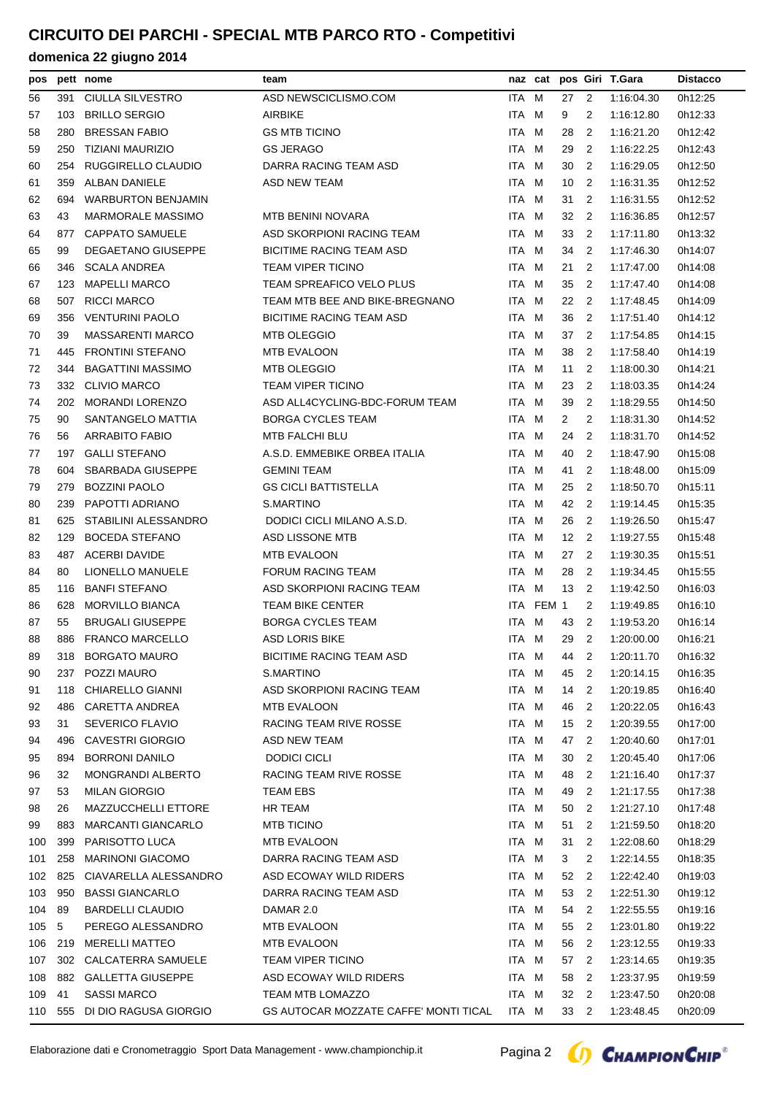| pos |                 | pett nome                  | team                                  |       | naz cat   |                   |                | pos Giri T.Gara   | <b>Distacco</b> |
|-----|-----------------|----------------------------|---------------------------------------|-------|-----------|-------------------|----------------|-------------------|-----------------|
| 56  | 391             | CIULLA SILVESTRO           | ASD NEWSCICLISMO.COM                  | ITA M |           | 27                | 2              | 1:16:04.30        | 0h12:25         |
| 57  | 103             | <b>BRILLO SERGIO</b>       | <b>AIRBIKE</b>                        | ITA M |           | 9                 | 2              | 1:16:12.80        | 0h12:33         |
| 58  | 280             | <b>BRESSAN FABIO</b>       | <b>GS MTB TICINO</b>                  | ITA.  | M         | 28                | $\overline{2}$ | 1:16:21.20        | 0h12:42         |
| 59  | 250             | TIZIANI MAURIZIO           | <b>GS JERAGO</b>                      | ITA   | M         | 29                | 2              | 1:16:22.25        | 0h12:43         |
| 60  | 254             | RUGGIRELLO CLAUDIO         | DARRA RACING TEAM ASD                 | ITA M |           | 30                | 2              | 1:16:29.05        | 0h12:50         |
| 61  | 359             | ALBAN DANIELE              | ASD NEW TEAM                          | ITA   | M         | 10                | 2              | 1:16:31.35        | 0h12:52         |
| 62  | 694             | <b>WARBURTON BENJAMIN</b>  |                                       | ITA M |           | 31                | 2              | 1:16:31.55        | 0h12:52         |
| 63  | 43              | <b>MARMORALE MASSIMO</b>   | <b>MTB BENINI NOVARA</b>              | ITA M |           | 32                | 2              | 1:16:36.85        | 0h12:57         |
| 64  | 877             | <b>CAPPATO SAMUELE</b>     | ASD SKORPIONI RACING TEAM             | ITA.  | M         | 33                | 2              | 1:17:11.80        | 0h13:32         |
| 65  | 99              | <b>DEGAETANO GIUSEPPE</b>  | <b>BICITIME RACING TEAM ASD</b>       | ITA M |           | 34                | 2              | 1:17:46.30        | 0h14:07         |
| 66  | 346             | <b>SCALA ANDREA</b>        | <b>TEAM VIPER TICINO</b>              | ITA M |           | 21                | 2              | 1:17:47.00        | 0h14:08         |
| 67  | 123             | <b>MAPELLI MARCO</b>       | TEAM SPREAFICO VELO PLUS              | ITA M |           | 35                | 2              | 1:17:47.40        | 0h14:08         |
| 68  | 507             | <b>RICCI MARCO</b>         | TEAM MTB BEE AND BIKE-BREGNANO        | ITA M |           | 22                | 2              | 1:17:48.45        | 0h14:09         |
| 69  | 356             | <b>VENTURINI PAOLO</b>     | <b>BICITIME RACING TEAM ASD</b>       | ITA M |           | 36                | 2              | 1:17:51.40        | 0h14:12         |
| 70  | 39              | <b>MASSARENTI MARCO</b>    | <b>MTB OLEGGIO</b>                    | ITA.  | M         | 37                | 2              | 1:17:54.85        | 0h14:15         |
| 71  | 445             | <b>FRONTINI STEFANO</b>    | <b>MTB EVALOON</b>                    | ITA   | M         | 38                | 2              | 1:17:58.40        | 0h14:19         |
| 72  | 344             | <b>BAGATTINI MASSIMO</b>   | <b>MTB OLEGGIO</b>                    | ITA M |           | 11                | 2              | 1:18:00.30        | 0h14:21         |
| 73  | 332             | <b>CLIVIO MARCO</b>        | <b>TEAM VIPER TICINO</b>              | ITA M |           | 23                | 2              | 1:18:03.35        | 0h14:24         |
| 74  | 202             | <b>MORANDI LORENZO</b>     | ASD ALL4CYCLING-BDC-FORUM TEAM        | ITA M |           | 39                | 2              | 1:18:29.55        | 0h14:50         |
| 75  | 90              | SANTANGELO MATTIA          | <b>BORGA CYCLES TEAM</b>              | ITA M |           | $\overline{2}$    | 2              | 1:18:31.30        | 0h14:52         |
| 76  | 56              | <b>ARRABITO FABIO</b>      | <b>MTB FALCHI BLU</b>                 | ITA.  | M         | 24                | 2              | 1:18:31.70        | 0h14:52         |
| 77  | 197             | <b>GALLI STEFANO</b>       | A.S.D. EMMEBIKE ORBEA ITALIA          | ITA   | M         | 40                | 2              | 1:18:47.90        | 0h15:08         |
| 78  | 604             | <b>SBARBADA GIUSEPPE</b>   | <b>GEMINI TEAM</b>                    | ITA M |           | 41                | 2              | 1:18:48.00        | 0h15:09         |
| 79  | 279             | <b>BOZZINI PAOLO</b>       | <b>GS CICLI BATTISTELLA</b>           | ITA   | M         | 25                | 2              | 1:18:50.70        | 0h15:11         |
| 80  | 239             | PAPOTTI ADRIANO            | S.MARTINO                             | ITA M |           | 42                | $\overline{2}$ | 1:19:14.45        | 0h15:35         |
| 81  | 625             | STABILINI ALESSANDRO       | DODICI CICLI MILANO A.S.D.            | ITA M |           | 26                | $\overline{2}$ | 1:19:26.50        | 0h15:47         |
| 82  | 129             | <b>BOCEDA STEFANO</b>      | ASD LISSONE MTB                       | ITA.  | M         | $12 \overline{ }$ | $\overline{2}$ | 1:19:27.55        | 0h15:48         |
|     |                 |                            |                                       |       |           |                   |                |                   |                 |
| 83  |                 | 487 ACERBI DAVIDE          | <b>MTB EVALOON</b>                    | ITA   | M         | 27                | 2              | 1:19:30.35        | 0h15:51         |
| 84  | 80              | LIONELLO MANUELE           | FORUM RACING TEAM                     | ITA M |           | 28                | 2              | 1:19:34.45        | 0h15:55         |
| 85  | 116             | <b>BANFI STEFANO</b>       | ASD SKORPIONI RACING TEAM             | ITA M |           | 13                | 2              | 1:19:42.50        | 0h16:03         |
| 86  | 628             | <b>MORVILLO BIANCA</b>     | <b>TEAM BIKE CENTER</b>               |       | ITA FEM 1 |                   | 2              | 1:19:49.85        | 0h16:10         |
| 87  | 55              | <b>BRUGALI GIUSEPPE</b>    | <b>BORGA CYCLES TEAM</b>              | ITA M |           | 43                | $\overline{2}$ | 1:19:53.20        | 0h16:14         |
| 88  |                 | 886 FRANCO MARCELLO        | <b>ASD LORIS BIKE</b>                 | ITA M |           | 29                | $\overline{2}$ | 1:20:00.00        | 0h16:21         |
| 89  |                 | 318 BORGATO MAURO          | BICITIME RACING TEAM ASD              |       | ITA M     |                   |                | 44  2  1:20:11.70 | 0h16:32         |
| 90  |                 | 237 POZZI MAURO            | S.MARTINO                             | ITA M |           | 45                | 2              | 1:20:14.15        | 0h16:35         |
| 91  | 118             | CHIARELLO GIANNI           | ASD SKORPIONI RACING TEAM             | ITA M |           | 14                | 2              | 1:20:19.85        | 0h16:40         |
| 92  | 486             | <b>CARETTA ANDREA</b>      | MTB EVALOON                           | ITA M |           | 46                | 2              | 1:20:22.05        | 0h16:43         |
| 93  | 31              | SEVERICO FLAVIO            | RACING TEAM RIVE ROSSE                | ITA M |           | 15                | $\overline{2}$ | 1:20:39.55        | 0h17:00         |
| 94  | 496             | <b>CAVESTRI GIORGIO</b>    | <b>ASD NEW TEAM</b>                   | ITA M |           | 47                | 2              | 1:20:40.60        | 0h17:01         |
| 95  | 894             | <b>BORRONI DANILO</b>      | <b>DODICI CICLI</b>                   | ITA M |           | 30                | 2              | 1:20:45.40        | 0h17:06         |
| 96  | 32              | <b>MONGRANDI ALBERTO</b>   | RACING TEAM RIVE ROSSE                | ITA M |           | 48                | 2              | 1:21:16.40        | 0h17:37         |
| 97  | 53              | <b>MILAN GIORGIO</b>       | TEAM EBS                              | ITA M |           | 49                | 2              | 1:21:17.55        | 0h17:38         |
| 98  | 26              | <b>MAZZUCCHELLI ETTORE</b> | HR TEAM                               | ITA M |           | 50                | $\overline{2}$ | 1:21:27.10        | 0h17:48         |
| 99  | 883             | MARCANTI GIANCARLO         | <b>MTB TICINO</b>                     | ITA M |           | 51                | 2              | 1:21:59.50        | 0h18:20         |
| 100 | 399             | PARISOTTO LUCA             | MTB EVALOON                           | ITA M |           | 31                | 2              | 1:22:08.60        | 0h18:29         |
| 101 | 258             | <b>MARINONI GIACOMO</b>    | DARRA RACING TEAM ASD                 | ITA M |           | 3                 | 2              | 1.22:14.55        | 0h18:35         |
| 102 | 825             | CIAVARELLA ALESSANDRO      | ASD ECOWAY WILD RIDERS                | ITA M |           | 52                | 2              | 1:22:42.40        | 0h19:03         |
| 103 | 950             | <b>BASSI GIANCARLO</b>     | DARRA RACING TEAM ASD                 | ITA M |           | 53                | 2              | 1:22:51.30        | 0h19:12         |
| 104 | 89              | <b>BARDELLI CLAUDIO</b>    | DAMAR 2.0                             | ITA M |           | 54                | 2              | 1:22:55.55        | 0h19:16         |
| 105 | $5\phantom{.0}$ | PEREGO ALESSANDRO          | MTB EVALOON                           | ITA M |           | 55                | 2              | 1:23:01.80        | 0h19:22         |
| 106 | 219             | <b>MERELLI MATTEO</b>      | MTB EVALOON                           | ITA M |           | 56                | 2              | 1:23:12.55        | 0h19:33         |
| 107 |                 | 302 CALCATERRA SAMUELE     | <b>TEAM VIPER TICINO</b>              | ITA M |           | 57                | 2              | 1:23:14.65        | 0h19:35         |
| 108 | 882             | <b>GALLETTA GIUSEPPE</b>   | ASD ECOWAY WILD RIDERS                | ITA M |           | 58                | 2              | 1:23:37.95        | 0h19:59         |
| 109 | 41              | <b>SASSI MARCO</b>         | TEAM MTB LOMAZZO                      | ITA M |           | 32                | 2              | 1:23:47.50        | 0h20:08         |
| 110 | 555             | DI DIO RAGUSA GIORGIO      | GS AUTOCAR MOZZATE CAFFE' MONTI TICAL | ITA M |           | 33 2              |                | 1:23:48.45        | 0h20:09         |

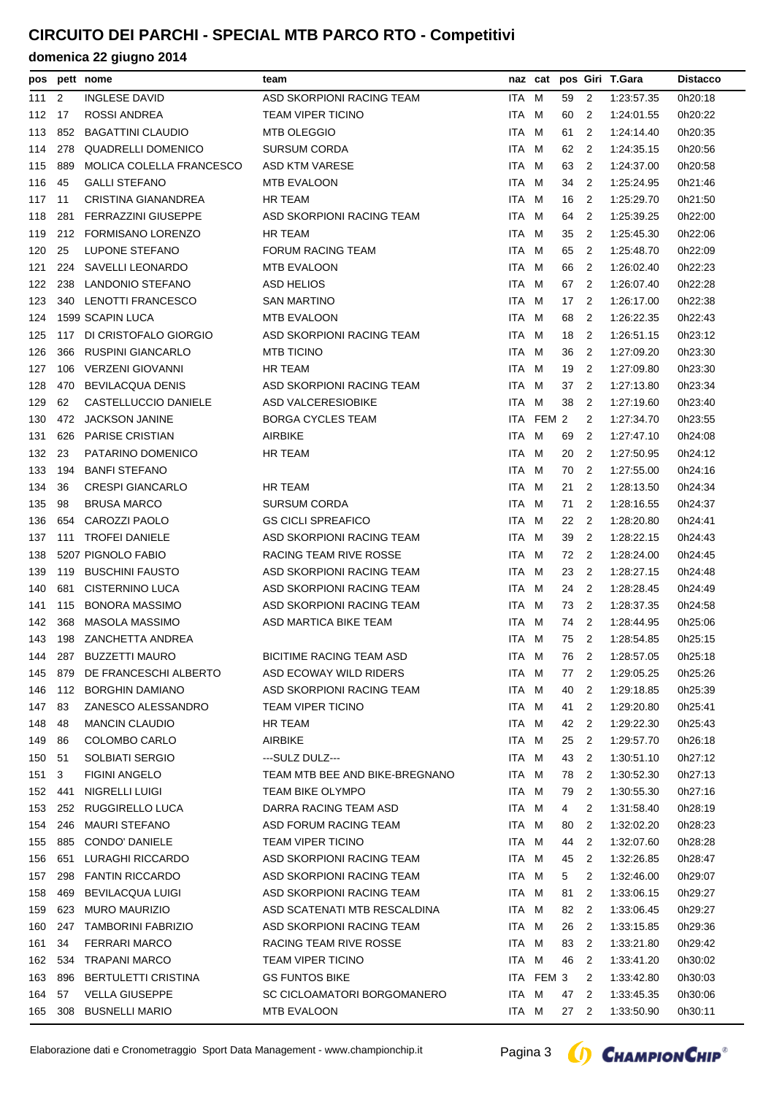| pos |     | pett nome                  | team                            |            |           |      |                | naz cat pos Giri T.Gara | <b>Distacco</b> |
|-----|-----|----------------------------|---------------------------------|------------|-----------|------|----------------|-------------------------|-----------------|
| 111 | 2   | <b>INGLESE DAVID</b>       | ASD SKORPIONI RACING TEAM       | ITA M      |           | 59   | 2              | 1:23:57.35              | 0h20:18         |
| 112 | 17  | ROSSI ANDREA               | TEAM VIPER TICINO               | ITA M      |           | 60   | $\overline{2}$ | 1:24:01.55              | 0h20:22         |
| 113 | 852 | <b>BAGATTINI CLAUDIO</b>   | <b>MTB OLEGGIO</b>              | <b>ITA</b> | M         | 61   | 2              | 1.24:14.40              | 0h20:35         |
| 114 | 278 | <b>QUADRELLI DOMENICO</b>  | <b>SURSUM CORDA</b>             | ITA M      |           | 62   | 2              | 1:24:35.15              | 0h20:56         |
| 115 | 889 | MOLICA COLELLA FRANCESCO   | ASD KTM VARESE                  | ITA M      |           | 63   | 2              | 1:24:37.00              | 0h20:58         |
| 116 | 45  | <b>GALLI STEFANO</b>       | <b>MTB EVALOON</b>              | ITA M      |           | 34   | 2              | 1:25:24.95              | 0h21:46         |
| 117 | 11  | CRISTINA GIANANDREA        | HR TEAM                         | ITA M      |           | 16   | 2              | 1:25:29.70              | 0h21:50         |
| 118 | 281 | <b>FERRAZZINI GIUSEPPE</b> | ASD SKORPIONI RACING TEAM       | ITA M      |           | 64   | 2              | 1:25:39.25              | 0h22:00         |
| 119 | 212 | FORMISANO LORENZO          | <b>HR TEAM</b>                  | <b>ITA</b> | M         | 35   | 2              | 1:25:45.30              | 0h22:06         |
| 120 | 25  | LUPONE STEFANO             | <b>FORUM RACING TEAM</b>        | ITA M      |           | 65   | 2              | 1:25:48.70              | 0h22:09         |
| 121 | 224 | SAVELLI LEONARDO           | MTB EVALOON                     | ITA M      |           | 66   | $\overline{2}$ | 1:26:02.40              | 0h22:23         |
| 122 | 238 | <b>LANDONIO STEFANO</b>    | <b>ASD HELIOS</b>               | ITA M      |           | 67   | $\overline{2}$ | 1:26:07.40              | 0h22:28         |
| 123 | 340 | LENOTTI FRANCESCO          | <b>SAN MARTINO</b>              | ITA M      |           | 17   | 2              | 1:26:17.00              | 0h22:38         |
| 124 |     | 1599 SCAPIN LUCA           | MTB EVALOON                     | ITA M      |           | 68   | $\overline{2}$ | 1:26:22.35              | 0h22:43         |
| 125 | 117 | DI CRISTOFALO GIORGIO      | ASD SKORPIONI RACING TEAM       | ITA        | M         | 18   | 2              | 1:26:51.15              | 0h23:12         |
| 126 | 366 | <b>RUSPINI GIANCARLO</b>   | <b>MTB TICINO</b>               | ITA M      |           | 36   | 2              | 1:27:09.20              | 0h23:30         |
| 127 | 106 | <b>VERZENI GIOVANNI</b>    | HR TEAM                         | ITA M      |           | 19   | $\overline{2}$ | 1:27:09.80              | 0h23:30         |
| 128 | 470 | <b>BEVILACQUA DENIS</b>    | ASD SKORPIONI RACING TEAM       | ITA M      |           | 37   | 2              | 1:27:13.80              | 0h23:34         |
| 129 | 62  | CASTELLUCCIO DANIELE       | <b>ASD VALCERESIOBIKE</b>       | ITA M      |           | 38   | 2              | 1:27:19.60              | 0h23:40         |
| 130 | 472 | <b>JACKSON JANINE</b>      | <b>BORGA CYCLES TEAM</b>        |            | ITA FEM 2 |      | 2              | 1:27:34.70              | 0h23:55         |
| 131 | 626 | <b>PARISE CRISTIAN</b>     | <b>AIRBIKE</b>                  | ITA.       | M         | 69   | $\overline{2}$ | 1:27:47.10              | 0h24:08         |
| 132 | 23  | PATARINO DOMENICO          | HR TEAM                         | ITA M      |           | 20   | $\overline{2}$ | 1:27:50.95              | 0h24:12         |
| 133 | 194 | <b>BANFI STEFANO</b>       |                                 | ITA M      |           | 70   | -2             | 1:27:55.00              | 0h24:16         |
| 134 | 36  | <b>CRESPI GIANCARLO</b>    | HR TEAM                         | ITA M      |           | 21   | 2              | 1:28:13.50              | 0h24:34         |
| 135 | 98  | <b>BRUSA MARCO</b>         | <b>SURSUM CORDA</b>             | ITA M      |           | 71   | $\overline{2}$ | 1:28:16.55              | 0h24:37         |
| 136 | 654 | CAROZZI PAOLO              | <b>GS CICLI SPREAFICO</b>       | ITA M      |           | 22   | $\overline{2}$ | 1:28:20.80              | 0h24:41         |
| 137 | 111 | <b>TROFEI DANIELE</b>      | ASD SKORPIONI RACING TEAM       | ITA M      |           | 39   | 2              | 1:28:22.15              | 0h24:43         |
| 138 |     | 5207 PIGNOLO FABIO         | RACING TEAM RIVE ROSSE          | ITA M      |           | 72   | 2              | 1:28:24.00              | 0h24:45         |
| 139 | 119 | <b>BUSCHINI FAUSTO</b>     | ASD SKORPIONI RACING TEAM       | ITA M      |           | 23   | $\overline{2}$ | 1:28:27.15              | 0h24:48         |
| 140 | 681 | <b>CISTERNINO LUCA</b>     | ASD SKORPIONI RACING TEAM       | ITA M      |           | 24   | $\overline{2}$ | 1:28:28.45              | 0h24:49         |
| 141 | 115 | <b>BONORA MASSIMO</b>      | ASD SKORPIONI RACING TEAM       | ITA M      |           | 73   | $\overline{2}$ | 1:28:37.35              | 0h24:58         |
| 142 | 368 | <b>MASOLA MASSIMO</b>      | ASD MARTICA BIKE TEAM           | ITA M      |           | 74   | $\overline{2}$ | 1:28:44.95              | 0h25:06         |
| 143 | 198 | ZANCHETTA ANDREA           |                                 | ITA M      |           | 75   | $\overline{2}$ | 1:28:54.85              | 0h25:15         |
| 144 |     | 287 BUZZETTI MAURO         | <b>BICITIME RACING TEAM ASD</b> | ITA M      |           |      |                | 76 2 1:28:57.05         | 0h25:18         |
| 145 | 879 | DE FRANCESCHI ALBERTO      | ASD ECOWAY WILD RIDERS          | ITA M      |           | 77   | 2              | 1:29:05.25              | 0h25:26         |
| 146 | 112 | <b>BORGHIN DAMIANO</b>     | ASD SKORPIONI RACING TEAM       | ITA M      |           | 40   | 2              | 1:29:18.85              | 0h25:39         |
| 147 | 83  | ZANESCO ALESSANDRO         | <b>TEAM VIPER TICINO</b>        | ITA M      |           | 41   | 2              | 1:29:20.80              | 0h25:41         |
| 148 | 48  | <b>MANCIN CLAUDIO</b>      | HR TEAM                         | ITA M      |           | 42   | 2              | 1:29:22.30              | 0h25:43         |
| 149 | 86  | COLOMBO CARLO              | <b>AIRBIKE</b>                  | ITA M      |           | 25   | 2              | 1:29:57.70              | 0h26:18         |
| 150 | 51  | <b>SOLBIATI SERGIO</b>     | ---SULZ DULZ---                 | ITA M      |           | 43   | $\overline{2}$ | 1:30:51.10              | 0h27:12         |
| 151 | 3   | <b>FIGINI ANGELO</b>       | TEAM MTB BEE AND BIKE-BREGNANO  | ITA M      |           | 78   | $\overline{2}$ | 1:30:52.30              | 0h27:13         |
| 152 | 441 | NIGRELLI LUIGI             | <b>TEAM BIKE OLYMPO</b>         | ITA M      |           | 79   | 2              | 1:30:55.30              | 0h27:16         |
| 153 | 252 | RUGGIRELLO LUCA            | DARRA RACING TEAM ASD           | ITA M      |           | 4    | 2              | 1:31:58.40              | 0h28:19         |
| 154 | 246 | <b>MAURI STEFANO</b>       | ASD FORUM RACING TEAM           | ITA M      |           | 80   | $\overline{2}$ | 1:32:02.20              | 0h28:23         |
| 155 | 885 | <b>CONDO' DANIELE</b>      | <b>TEAM VIPER TICINO</b>        | ITA M      |           | 44   | 2              | 1:32:07.60              | 0h28:28         |
| 156 | 651 | LURAGHI RICCARDO           | ASD SKORPIONI RACING TEAM       | ITA M      |           | 45   | 2              | 1:32:26.85              | 0h28:47         |
| 157 | 298 | <b>FANTIN RICCARDO</b>     | ASD SKORPIONI RACING TEAM       | ITA M      |           | 5    | 2              | 1:32:46.00              | 0h29:07         |
| 158 | 469 | <b>BEVILACQUA LUIGI</b>    | ASD SKORPIONI RACING TEAM       | ITA M      |           | 81   | 2              | 1:33:06.15              | 0h29:27         |
| 159 | 623 | <b>MURO MAURIZIO</b>       | ASD SCATENATI MTB RESCALDINA    | ITA M      |           | 82   | 2              | 1:33:06.45              | 0h29:27         |
| 160 | 247 | <b>TAMBORINI FABRIZIO</b>  | ASD SKORPIONI RACING TEAM       | ITA M      |           | 26   | 2              | 1:33:15.85              | 0h29:36         |
| 161 | 34  | <b>FERRARI MARCO</b>       | RACING TEAM RIVE ROSSE          | ITA M      |           | 83   | 2              | 1:33:21.80              | 0h29:42         |
| 162 | 534 | <b>TRAPANI MARCO</b>       | <b>TEAM VIPER TICINO</b>        | ITA M      |           | 46   | $\overline{2}$ | 1:33:41.20              | 0h30:02         |
| 163 | 896 | <b>BERTULETTI CRISTINA</b> | <b>GS FUNTOS BIKE</b>           |            | ITA FEM 3 |      | 2              | 1:33:42.80              | 0h30:03         |
|     | 57  | <b>VELLA GIUSEPPE</b>      | SC CICLOAMATORI BORGOMANERO     | ITA M      |           | 47   | 2              | 1:33:45.35              |                 |
| 164 |     |                            |                                 |            |           |      |                |                         | 0h30:06         |
| 165 | 308 | <b>BUSNELLI MARIO</b>      | MTB EVALOON                     | ITA M      |           | 27 2 |                | 1:33:50.90              | 0h30:11         |

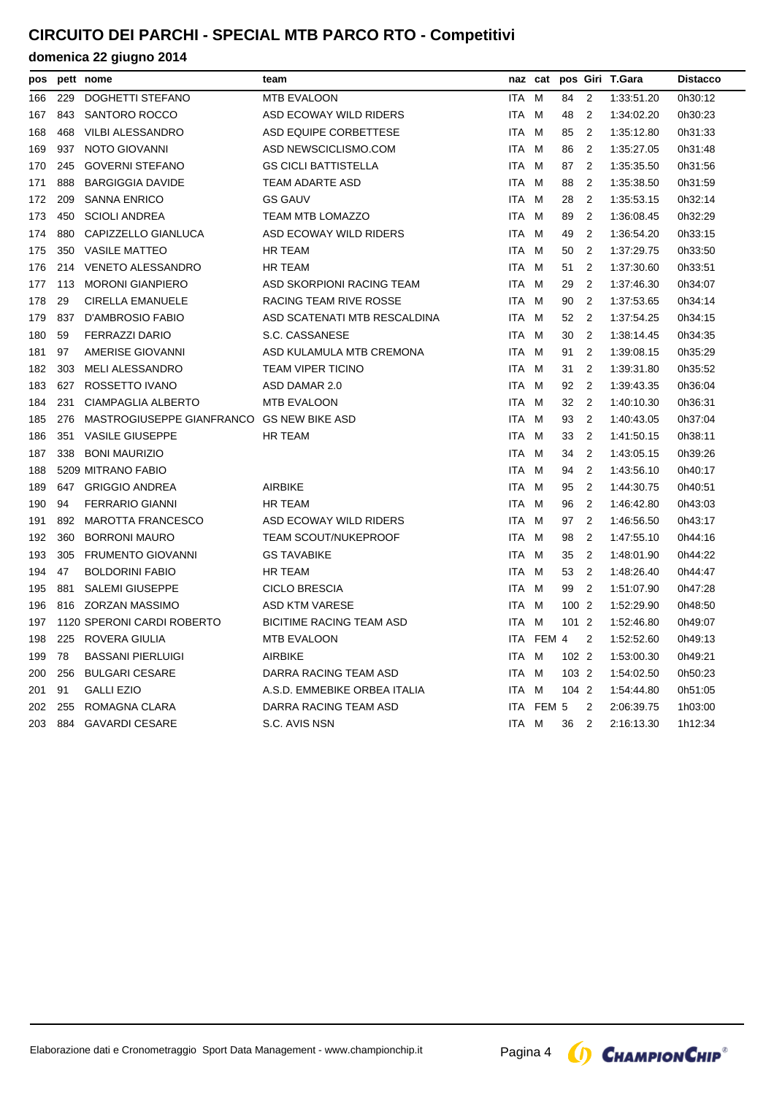| pos |     | pett nome                  | team                            |            | naz cat |       |                | pos Giri T.Gara | <b>Distacco</b> |
|-----|-----|----------------------------|---------------------------------|------------|---------|-------|----------------|-----------------|-----------------|
| 166 | 229 | DOGHETTI STEFANO           | <b>MTB EVALOON</b>              | <b>ITA</b> | M       | 84    | 2              | 1:33:51.20      | 0h30:12         |
| 167 | 843 | <b>SANTORO ROCCO</b>       | ASD ECOWAY WILD RIDERS          | ITA M      |         | 48    | 2              | 1:34:02.20      | 0h30:23         |
| 168 | 468 | <b>VILBI ALESSANDRO</b>    | ASD EQUIPE CORBETTESE           | <b>ITA</b> | M       | 85    | 2              | 1:35:12.80      | 0h31:33         |
| 169 | 937 | <b>NOTO GIOVANNI</b>       | ASD NEWSCICLISMO.COM            | <b>ITA</b> | M       | 86    | $\overline{2}$ | 1:35:27.05      | 0h31:48         |
| 170 | 245 | <b>GOVERNI STEFANO</b>     | <b>GS CICLI BATTISTELLA</b>     | ITA M      |         | 87    | 2              | 1:35:35.50      | 0h31:56         |
| 171 | 888 | <b>BARGIGGIA DAVIDE</b>    | <b>TEAM ADARTE ASD</b>          | ITA M      |         | 88    | 2              | 1:35:38.50      | 0h31:59         |
| 172 | 209 | <b>SANNA ENRICO</b>        | <b>GS GAUV</b>                  | ITA.       | M       | 28    | $\overline{2}$ | 1:35:53.15      | 0h32:14         |
| 173 | 450 | <b>SCIOLI ANDREA</b>       | <b>TEAM MTB LOMAZZO</b>         | ITA        | M       | 89    | 2              | 1:36:08.45      | 0h32:29         |
| 174 | 880 | CAPIZZELLO GIANLUCA        | ASD ECOWAY WILD RIDERS          | <b>ITA</b> | M       | 49    | 2              | 1:36:54.20      | 0h33:15         |
| 175 | 350 | <b>VASILE MATTEO</b>       | <b>HR TEAM</b>                  | ITA.       | M       | 50    | $\overline{2}$ | 1:37:29.75      | 0h33:50         |
| 176 | 214 | <b>VENETO ALESSANDRO</b>   | <b>HR TEAM</b>                  | ITA M      |         | 51    | $\overline{2}$ | 1:37:30.60      | 0h33:51         |
| 177 | 113 | <b>MORONI GIANPIERO</b>    | ASD SKORPIONI RACING TEAM       | ITA M      |         | 29    | $\overline{2}$ | 1.37.46.30      | 0h34:07         |
| 178 | 29  | <b>CIRELLA EMANUELE</b>    | <b>RACING TEAM RIVE ROSSE</b>   | ITA.       | M       | 90    | $\overline{2}$ | 1.37.53.65      | 0h34:14         |
| 179 | 837 | D'AMBROSIO FABIO           | ASD SCATENATI MTB RESCALDINA    | ITA        | м       | 52    | 2              | 1:37:54.25      | 0h34:15         |
| 180 | 59  | <b>FERRAZZI DARIO</b>      | S.C. CASSANESE                  | ITA        | M       | 30    | $\overline{2}$ | 1:38:14.45      | 0h34:35         |
| 181 | 97  | AMERISE GIOVANNI           | ASD KULAMULA MTB CREMONA        | ITA.       | M       | 91    | $\overline{2}$ | 1:39:08.15      | 0h35:29         |
| 182 | 303 | <b>MELI ALESSANDRO</b>     | <b>TEAM VIPER TICINO</b>        | ITA M      |         | 31    | $\overline{2}$ | 1:39:31.80      | 0h35:52         |
| 183 | 627 | ROSSETTO IVANO             | ASD DAMAR 2.0                   | ITA        | M       | 92    | $\overline{2}$ | 1:39:43.35      | 0h36:04         |
| 184 | 231 | CIAMPAGLIA ALBERTO         | <b>MTB EVALOON</b>              | ITA.       | M       | 32    | $\overline{2}$ | 1:40:10.30      | 0h36:31         |
| 185 | 276 | MASTROGIUSEPPE GIANFRANCO  | <b>GS NEW BIKE ASD</b>          | <b>ITA</b> | M       | 93    | 2              | 1:40:43.05      | 0h37:04         |
| 186 | 351 | <b>VASILE GIUSEPPE</b>     | HR TEAM                         | <b>ITA</b> | M       | 33    | 2              | 1:41:50.15      | 0h38:11         |
| 187 | 338 | <b>BONI MAURIZIO</b>       |                                 | <b>ITA</b> | M       | 34    | $\overline{2}$ | 1:43:05.15      | 0h39:26         |
| 188 |     | 5209 MITRANO FABIO         |                                 | ITA M      |         | 94    | 2              | 1:43:56.10      | 0h40:17         |
| 189 | 647 | <b>GRIGGIO ANDREA</b>      | <b>AIRBIKE</b>                  | ITA M      |         | 95    | $\overline{2}$ | 1:44:30.75      | 0h40:51         |
| 190 | 94  | <b>FERRARIO GIANNI</b>     | <b>HR TEAM</b>                  | ITA.       | M       | 96    | 2              | 1:46:42.80      | 0h43:03         |
| 191 | 892 | <b>MAROTTA FRANCESCO</b>   | ASD ECOWAY WILD RIDERS          | <b>ITA</b> | M       | 97    | 2              | 1:46:56.50      | 0h43:17         |
| 192 | 360 | <b>BORRONI MAURO</b>       | <b>TEAM SCOUT/NUKEPROOF</b>     | ITA        | M       | 98    | $\overline{2}$ | 1:47:55.10      | 0h44:16         |
| 193 | 305 | <b>FRUMENTO GIOVANNI</b>   | <b>GS TAVABIKE</b>              | <b>ITA</b> | M       | 35    | 2              | 1.48.01.90      | 0h44:22         |
| 194 | 47  | <b>BOLDORINI FABIO</b>     | <b>HR TEAM</b>                  | ITA M      |         | 53    | $\overline{2}$ | 1:48:26.40      | 0h44:47         |
| 195 | 881 | <b>SALEMI GIUSEPPE</b>     | <b>CICLO BRESCIA</b>            | ITA.       | M       | 99    | $\overline{2}$ | 1.51.07.90      | 0h47:28         |
| 196 | 816 | ZORZAN MASSIMO             | <b>ASD KTM VARESE</b>           | ITA.       | M       | 100 2 |                | 1:52:29.90      | 0h48:50         |
| 197 |     | 1120 SPERONI CARDI ROBERTO | <b>BICITIME RACING TEAM ASD</b> | ITA.       | м       | 101 2 |                | 1:52:46.80      | 0h49:07         |
| 198 | 225 | ROVERA GIULIA              | <b>MTB EVALOON</b>              | ITA        | FEM 4   |       | $\overline{2}$ | 1:52:52.60      | 0h49:13         |
| 199 | 78  | <b>BASSANI PIERLUIGI</b>   | <b>AIRBIKE</b>                  | ITA M      |         | 102 2 |                | 1:53:00.30      | 0h49:21         |
| 200 | 256 | <b>BULGARI CESARE</b>      | DARRA RACING TEAM ASD           | ITA M      |         | 103 2 |                | 1:54:02.50      | 0h50:23         |
| 201 | 91  | <b>GALLI EZIO</b>          | A.S.D. EMMEBIKE ORBEA ITALIA    | <b>ITA</b> | M       | 104 2 |                | 1:54:44.80      | 0h51:05         |
| 202 | 255 | ROMAGNA CLARA              | DARRA RACING TEAM ASD           | ITA.       | FEM 5   |       | $\overline{2}$ | 2:06:39.75      | 1h03:00         |
| 203 | 884 | <b>GAVARDI CESARE</b>      | S.C. AVIS NSN                   | ITA M      |         | 36    | $\overline{2}$ | 2:16:13.30      | 1h12:34         |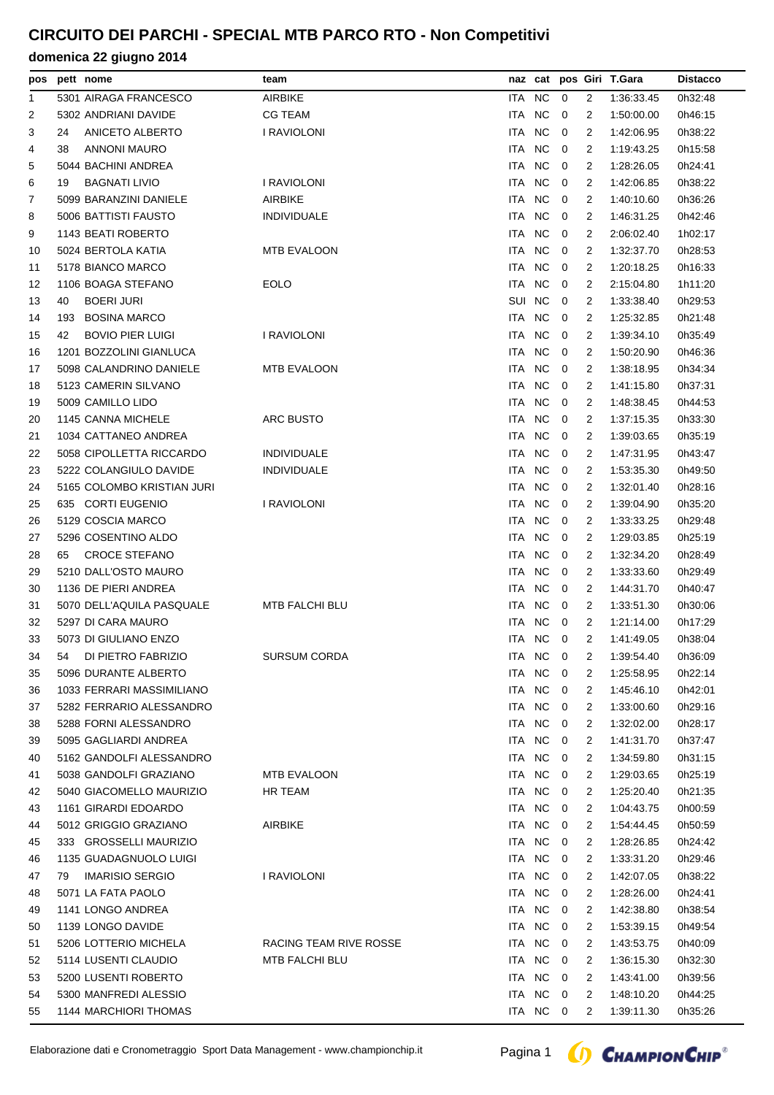| pos |     | pett nome                  | team                   |            |           |                |   | naz cat pos Giri T.Gara | <b>Distacco</b> |
|-----|-----|----------------------------|------------------------|------------|-----------|----------------|---|-------------------------|-----------------|
| 1   |     | 5301 AIRAGA FRANCESCO      | AIRBIKE                | ITA NC     |           | $\mathbf 0$    | 2 | 1:36:33.45              | 0h32:48         |
| 2   |     | 5302 ANDRIANI DAVIDE       | <b>CG TEAM</b>         | ITA NC     |           | 0              | 2 | 1:50:00.00              | 0h46:15         |
| 3   | 24  | ANICETO ALBERTO            | I RAVIOLONI            | ITA        | <b>NC</b> | $\mathbf 0$    | 2 | 1:42:06.95              | 0h38:22         |
| 4   | 38  | <b>ANNONI MAURO</b>        |                        | ITA.       | <b>NC</b> | 0              | 2 | 1:19:43.25              | 0h15:58         |
| 5   |     | 5044 BACHINI ANDREA        |                        | ITA        | <b>NC</b> | 0              | 2 | 1:28:26.05              | 0h24:41         |
| 6   | 19  | <b>BAGNATI LIVIO</b>       | I RAVIOLONI            | ITA        | <b>NC</b> | $\mathbf 0$    | 2 | 1:42:06.85              | 0h38:22         |
| 7   |     | 5099 BARANZINI DANIELE     | AIRBIKE                | ITA        | <b>NC</b> | $\mathbf 0$    | 2 | 1:40:10.60              | 0h36:26         |
| 8   |     | 5006 BATTISTI FAUSTO       | <b>INDIVIDUALE</b>     | ITA        | <b>NC</b> | $\overline{0}$ | 2 | 1:46:31.25              | 0h42:46         |
| 9   |     | 1143 BEATI ROBERTO         |                        | ITA.       | <b>NC</b> | $\mathbf 0$    | 2 | 2:06:02.40              | 1h02:17         |
| 10  |     | 5024 BERTOLA KATIA         | <b>MTB EVALOON</b>     | ITA.       | <b>NC</b> | 0              | 2 | 1:32:37.70              | 0h28:53         |
| 11  |     | 5178 BIANCO MARCO          |                        | ITA        | <b>NC</b> | 0              | 2 | 1:20:18.25              | 0h16:33         |
| 12  |     | 1106 BOAGA STEFANO         | <b>EOLO</b>            | ITA.       | <b>NC</b> | $\mathbf 0$    | 2 | 2:15:04.80              | 1h11:20         |
| 13  | 40  | <b>BOERI JURI</b>          |                        | SUI NC     |           | 0              | 2 | 1:33:38.40              | 0h29:53         |
| 14  | 193 | <b>BOSINA MARCO</b>        |                        | ITA NC     |           | - 0            | 2 | 1:25:32.85              | 0h21:48         |
| 15  | 42  | <b>BOVIO PIER LUIGI</b>    | I RAVIOLONI            | ITA.       | <b>NC</b> | 0              | 2 | 1:39:34.10              | 0h35:49         |
| 16  |     | 1201 BOZZOLINI GIANLUCA    |                        | ITA.       | <b>NC</b> | 0              | 2 | 1:50:20.90              | 0h46:36         |
| 17  |     | 5098 CALANDRINO DANIELE    | MTB EVALOON            | ITA.       | <b>NC</b> | 0              | 2 | 1:38:18.95              | 0h34:34         |
| 18  |     | 5123 CAMERIN SILVANO       |                        | ITA        | <b>NC</b> | $\mathbf 0$    | 2 | 1:41:15.80              | 0h37:31         |
| 19  |     | 5009 CAMILLO LIDO          |                        | ITA NC     |           | $\overline{0}$ | 2 | 1:48:38.45              | 0h44:53         |
| 20  |     | 1145 CANNA MICHELE         | <b>ARC BUSTO</b>       | ITA NC     |           | $\overline{0}$ | 2 | 1:37:15.35              | 0h33:30         |
| 21  |     | 1034 CATTANEO ANDREA       |                        | ITA.       | <b>NC</b> | $\mathbf 0$    | 2 | 1:39:03.65              | 0h35:19         |
| 22  |     | 5058 CIPOLLETTA RICCARDO   | <b>INDIVIDUALE</b>     | ITA.       | <b>NC</b> | $\overline{0}$ | 2 | 1:47:31.95              | 0h43:47         |
| 23  |     | 5222 COLANGIULO DAVIDE     | <b>INDIVIDUALE</b>     | ITA.       | <b>NC</b> | $\mathbf 0$    | 2 | 1:53:35.30              | 0h49:50         |
| 24  |     | 5165 COLOMBO KRISTIAN JURI |                        | ITA        | <b>NC</b> | $\mathbf 0$    | 2 | 1:32:01.40              | 0h28:16         |
| 25  |     | 635 CORTI EUGENIO          | I RAVIOLONI            | ITA        | <b>NC</b> | - 0            | 2 | 1:39:04.90              | 0h35:20         |
| 26  |     | 5129 COSCIA MARCO          |                        | ITA NC     |           | - 0            | 2 | 1:33:33.25              | 0h29:48         |
| 27  |     | 5296 COSENTINO ALDO        |                        | ITA.       | <b>NC</b> | 0              | 2 | 1:29:03.85              | 0h25:19         |
| 28  | 65  | <b>CROCE STEFANO</b>       |                        | ITA        | <b>NC</b> | 0              | 2 | 1:32:34.20              | 0h28:49         |
| 29  |     | 5210 DALL'OSTO MAURO       |                        | ITA.       | <b>NC</b> | 0              | 2 | 1:33:33.60              | 0h29:49         |
|     |     | 1136 DE PIERI ANDREA       |                        | ITA        | <b>NC</b> | 0              | 2 | 1:44:31.70              | 0h40:47         |
| 30  |     | 5070 DELL'AQUILA PASQUALE  | MTB FALCHI BLU         | ITA NC     |           | - 0            | 2 | 1:33:51.30              |                 |
| 31  |     | 5297 DI CARA MAURO         |                        | ITA NC     |           | - 0            | 2 |                         | 0h30:06         |
| 32  |     |                            |                        | ITA NC     |           |                |   | 1:21:14.00              | 0h17:29         |
| 33  |     | 5073 DI GIULIANO ENZO      |                        |            |           | $\mathbf 0$    | 2 | 1:41:49.05              | 0h38:04         |
| 34  | 54  | DI PIETRO FABRIZIO         | <b>SURSUM CORDA</b>    |            | ITA NC 0  |                |   | 1:39:54.40              | 0h36:09         |
| 35  |     | 5096 DURANTE ALBERTO       |                        | ITA NC     |           | 0              | 2 | 1:25:58.95              | 0h22:14         |
| 36  |     | 1033 FERRARI MASSIMILIANO  |                        | ITA NC     |           | 0              | 2 | 1:45:46.10              | 0h42:01         |
| 37  |     | 5282 FERRARIO ALESSANDRO   |                        | ITA NC     |           | 0              | 2 | 1:33:00.60              | 0h29:16         |
| 38  |     | 5288 FORNI ALESSANDRO      |                        | ITA NC     |           | 0              | 2 | 1:32:02.00              | 0h28:17         |
| 39  |     | 5095 GAGLIARDI ANDREA      |                        | ITA        | <b>NC</b> | 0              | 2 | 1:41:31.70              | 0h37:47         |
| 40  |     | 5162 GANDOLFI ALESSANDRO   |                        | ITA        | <b>NC</b> | 0              | 2 | 1:34:59.80              | 0h31:15         |
| 41  |     | 5038 GANDOLFI GRAZIANO     | MTB EVALOON            | ITA        | NC        | $\overline{0}$ | 2 | 1:29:03.65              | 0h25:19         |
| 42  |     | 5040 GIACOMELLO MAURIZIO   | HR TEAM                | ITA NC     |           | 0              | 2 | 1:25:20.40              | 0h21:35         |
| 43  |     | 1161 GIRARDI EDOARDO       |                        | ITA NC     |           | 0              | 2 | 1:04:43.75              | 0h00:59         |
| 44  |     | 5012 GRIGGIO GRAZIANO      | <b>AIRBIKE</b>         | ITA NC     |           | 0              | 2 | 1:54:44.45              | 0h50:59         |
| 45  |     | 333 GROSSELLI MAURIZIO     |                        | ITA        | <b>NC</b> | 0              | 2 | 1:28:26.85              | 0h24:42         |
| 46  |     | 1135 GUADAGNUOLO LUIGI     |                        | ITA        | <b>NC</b> | 0              | 2 | 1:33:31.20              | 0h29:46         |
| 47  | 79  | <b>IMARISIO SERGIO</b>     | I RAVIOLONI            | ITA NC     |           | 0              | 2 | 1:42:07.05              | 0h38:22         |
| 48  |     | 5071 LA FATA PAOLO         |                        | ITA NC     |           | 0              | 2 | 1:28:26.00              | 0h24:41         |
| 49  |     | 1141 LONGO ANDREA          |                        | ITA NC     |           | 0              | 2 | 1:42:38.80              | 0h38:54         |
| 50  |     | 1139 LONGO DAVIDE          |                        | ITA NC     |           | 0              | 2 | 1:53:39.15              | 0h49:54         |
| 51  |     | 5206 LOTTERIO MICHELA      | RACING TEAM RIVE ROSSE | <b>ITA</b> | <b>NC</b> | 0              | 2 | 1:43:53.75              | 0h40:09         |
| 52  |     | 5114 LUSENTI CLAUDIO       | MTB FALCHI BLU         | ITA        | <b>NC</b> | 0              | 2 | 1:36:15.30              | 0h32:30         |
| 53  |     | 5200 LUSENTI ROBERTO       |                        | ITA NC     |           | 0              | 2 | 1:43:41.00              | 0h39:56         |
| 54  |     | 5300 MANFREDI ALESSIO      |                        | ITA NC     |           | 0              | 2 | 1:48:10.20              | 0h44:25         |
| 55  |     | 1144 MARCHIORI THOMAS      |                        | ITA NC     |           | 0              | 2 | 1:39:11.30              | 0h35:26         |